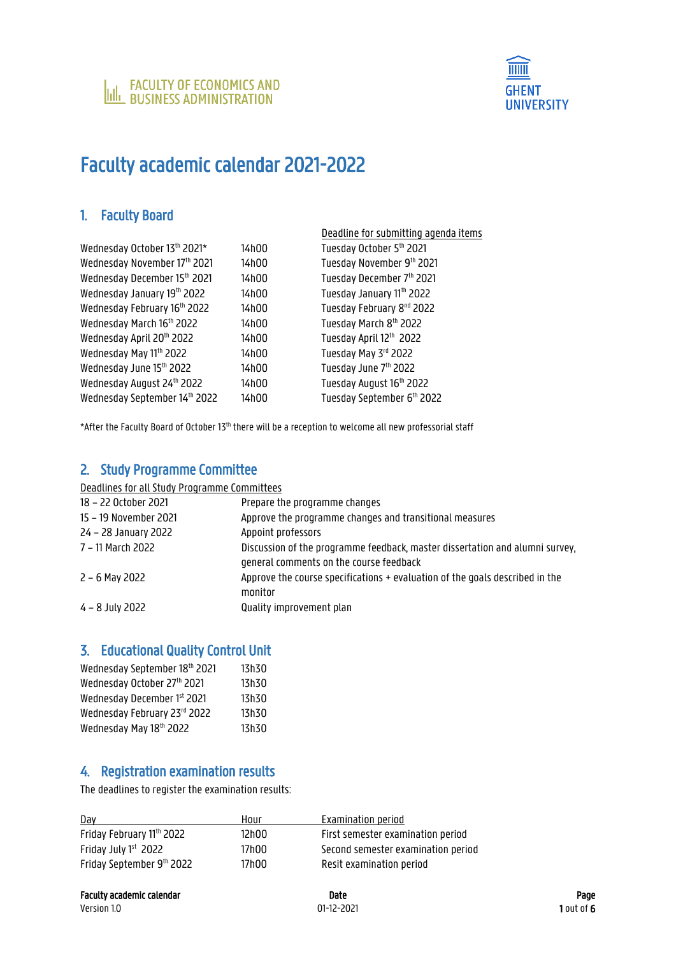



# Faculty academic calendar 2021-2022

#### 1. Faculty Board

|                               |       | Deadline for submitting agenda items  |
|-------------------------------|-------|---------------------------------------|
| Wednesday October 13th 2021*  | 14h00 | Tuesday October 5th 2021              |
| Wednesday November 17th 2021  | 14h00 | Tuesday November 9th 2021             |
| Wednesday December 15th 2021  | 14h00 | Tuesday December 7th 2021             |
| Wednesday January 19th 2022   | 14h00 | Tuesday January 11th 2022             |
| Wednesday February 16th 2022  | 14h00 | Tuesday February 8 <sup>nd</sup> 2022 |
| Wednesday March 16th 2022     | 14h00 | Tuesday March 8th 2022                |
| Wednesday April 20th 2022     | 14h00 | Tuesday April 12th 2022               |
| Wednesday May 11th 2022       | 14h00 | Tuesday May 3rd 2022                  |
| Wednesday June 15th 2022      | 14h00 | Tuesday June 7th 2022                 |
| Wednesday August 24th 2022    | 14h00 | Tuesday August 16th 2022              |
| Wednesday September 14th 2022 | 14h00 | Tuesday September 6th 2022            |
|                               |       |                                       |

\*After the Faculty Board of October 13<sup>th</sup> there will be a reception to welcome all new professorial staff

#### 2. Study Programme Committee

Deadlines for all Study Programme Committees

| 18 – 22 October 2021  | Prepare the programme changes                                                |
|-----------------------|------------------------------------------------------------------------------|
| 15 - 19 November 2021 | Approve the programme changes and transitional measures                      |
| 24 – 28 January 2022  | Appoint professors                                                           |
| 7 – 11 March 2022     | Discussion of the programme feedback, master dissertation and alumni survey. |
|                       | general comments on the course feedback                                      |
| $2 - 6$ May 2022      | Approve the course specifications + evaluation of the goals described in the |
|                       | monitor                                                                      |
| $4 - 8$ July 2022     | Quality improvement plan                                                     |

#### 3. Educational Quality Control Unit

| Wednesday September 18th 2021 | 13h30 |
|-------------------------------|-------|
| Wednesday October 27th 2021   | 13h30 |
| Wednesday December 1st 2021   | 13h30 |
| Wednesday February 23rd 2022  | 13h30 |
| Wednesday May 18th 2022       | 13h30 |

### 4. Registration examination results

The deadlines to register the examination results:

| Dav                       | Hour  | Examination period                 |
|---------------------------|-------|------------------------------------|
| Friday February 11th 2022 | 12h00 | First semester examination period  |
| Friday July 1st 2022      | 17h00 | Second semester examination period |
| Friday September 9th 2022 | 17h00 | Resit examination period           |

Version 1.0 **1.12-2021** 1 out of 6 out of 6 out of 6 out of 6 out of 6 out of 6 out of 6 out of 6 out of 6 out of 6 out of 6 out of 6 out of 6 out of 6 out of 6 out of 6 out of 6 out of 6 out of 6 out of 6 out of 6 out of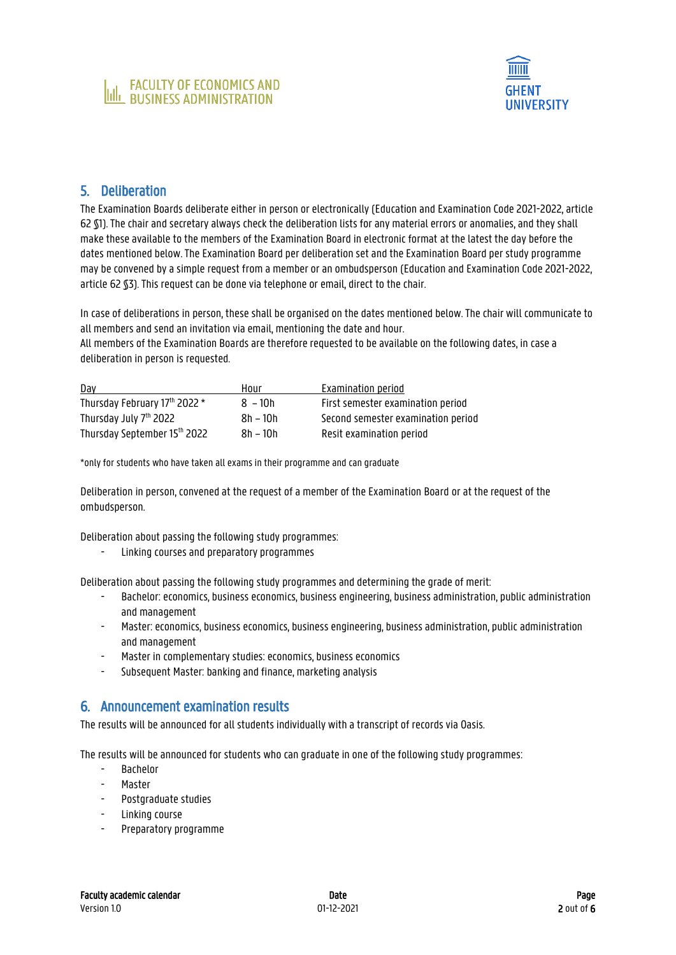

#### 5. Deliberation

The Examination Boards deliberate either in person or electronically (Education and Examination Code 2021-2022, article 62 §1). The chair and secretary always check the deliberation lists for any material errors or anomalies, and they shall make these available to the members of the Examination Board in electronic format at the latest the day before the dates mentioned below. The Examination Board per deliberation set and the Examination Board per study programme may be convened by a simple request from a member or an ombudsperson (Education and Examination Code 2021-2022, article 62 §3). This request can be done via telephone or email, direct to the chair.

In case of deliberations in person, these shall be organised on the dates mentioned below. The chair will communicate to all members and send an invitation via email, mentioning the date and hour.

All members of the Examination Boards are therefore requested to be available on the following dates, in case a deliberation in person is requested.

| Day                           | Hour       | Examination period                 |
|-------------------------------|------------|------------------------------------|
| Thursday February 17th 2022 * | $8 - 10h$  | First semester examination period  |
| Thursday July 7th 2022        | $8h - 10h$ | Second semester examination period |
| Thursday September 15th 2022  | 8h – 10h   | Resit examination period           |

\*only for students who have taken all exams in their programme and can graduate

Deliberation in person, convened at the request of a member of the Examination Board or at the request of the ombudsperson.

Deliberation about passing the following study programmes:

- Linking courses and preparatory programmes

Deliberation about passing the following study programmes and determining the grade of merit:

- Bachelor: economics, business economics, business engineering, business administration, public administration and management
- Master: economics, business economics, business engineering, business administration, public administration and management
- Master in complementary studies: economics, business economics
- Subsequent Master: banking and finance, marketing analysis

#### 6. Announcement examination results

The results will be announced for all students individually with a transcript of records via Oasis.

The results will be announced for students who can graduate in one of the following study programmes:

- Bachelor
- **Master**
- Postgraduate studies
- Linking course
- Preparatory programme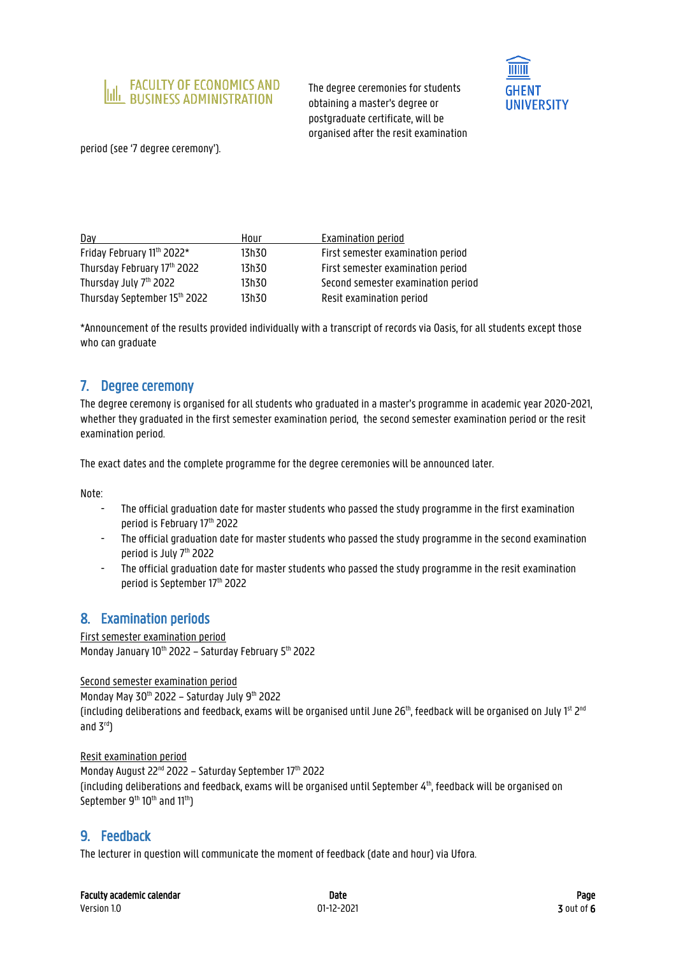

The degree ceremonies for students obtaining a master's degree or postgraduate certificate, will be organised after the resit examination



period (see '7 degree ceremony').

| Day                                | Hour  | Examination period                 |
|------------------------------------|-------|------------------------------------|
| Friday February 11th 2022*         | 13h30 | First semester examination period  |
| Thursday February 17th 2022        | 13h30 | First semester examination period  |
| Thursday July 7 <sup>th</sup> 2022 | 13h30 | Second semester examination period |
| Thursday September 15th 2022       | 13h30 | Resit examination period           |

\*Announcement of the results provided individually with a transcript of records via Oasis, for all students except those who can graduate

#### 7. Degree ceremony

The degree ceremony is organised for all students who graduated in a master's programme in academic year 2020-2021, whether they graduated in the first semester examination period, the second semester examination period or the resit examination period.

The exact dates and the complete programme for the degree ceremonies will be announced later.

Note:

- The official graduation date for master students who passed the study programme in the first examination period is February 17 th 2022
- The official graduation date for master students who passed the study programme in the second examination period is July 7 th 2022
- The official graduation date for master students who passed the study programme in the resit examination period is September 17th 2022

#### 8. Examination periods

First semester examination period Monday January 10<sup>th</sup> 2022 – Saturday February 5<sup>th</sup> 2022

Second semester examination period

Monday May 30<sup>th</sup> 2022 - Saturday July 9<sup>th</sup> 2022 (including deliberations and feedback, exams will be organised until June 26 $^{\rm th}$ , feedback will be organised on July 1 $^{\rm st}$  2 $^{\rm nd}$ and  $3<sup>rd</sup>$ 

Resit examination period Monday August 22<sup>nd</sup> 2022 – Saturday September 17<sup>th</sup> 2022 (including deliberations and feedback, exams will be organised until September  $4<sup>th</sup>$ , feedback will be organised on September 9<sup>th</sup> 10<sup>th</sup> and 11<sup>th</sup>)

#### 9. Feedback

The lecturer in question will communicate the moment of feedback (date and hour) via Ufora.

| <b>Faculty academic calendar</b> | Date | Page |
|----------------------------------|------|------|
|----------------------------------|------|------|

Version 1.0 01-12-2021 3 out of 6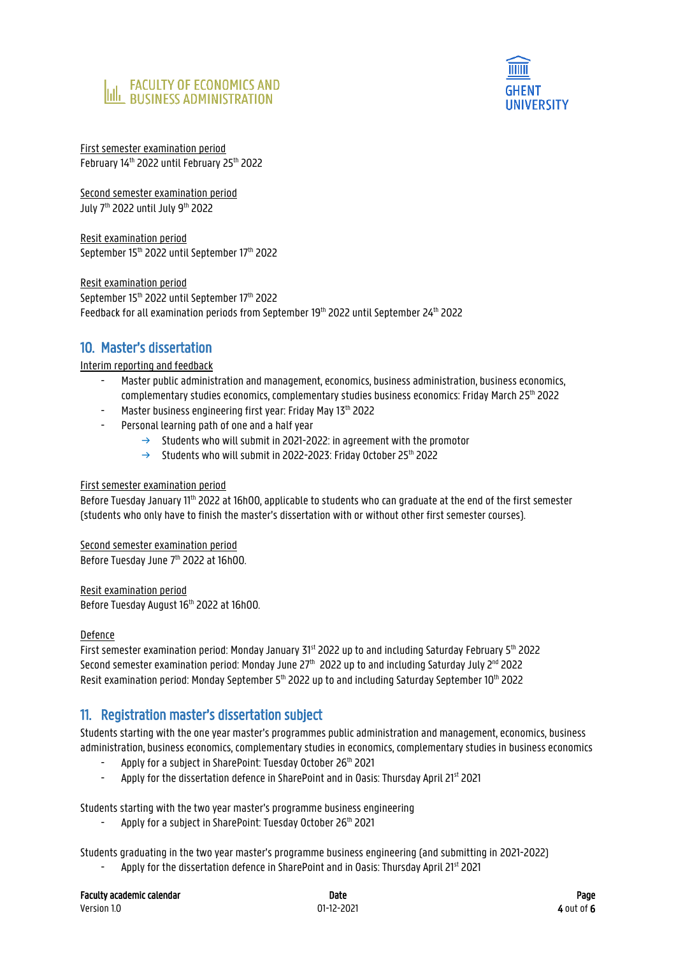



First semester examination period February 14th 2022 until February 25th 2022

Second semester examination period July 7<sup>th</sup> 2022 until July 9<sup>th</sup> 2022

Resit examination period September 15 th 2022 until September 17 th 2022

Resit examination period September 15<sup>th</sup> 2022 until September 17<sup>th</sup> 2022 Feedback for all examination periods from September 19th 2022 until September 24th 2022

### 10. Master's dissertation

Interim reporting and feedback

- Master public administration and management, economics, business administration, business economics, complementary studies economics, complementary studies business economics: Friday March 25<sup>th</sup> 2022
- Master business engineering first year: Friday May 13<sup>th</sup> 2022
- Personal learning path of one and a half year
	- $\rightarrow$  Students who will submit in 2021-2022: in agreement with the promotor
	- $\rightarrow$  Students who will submit in 2022-2023: Friday October 25th 2022

#### First semester examination period

Before Tuesday January 11<sup>th</sup> 2022 at 16h00, applicable to students who can graduate at the end of the first semester (students who only have to finish the master's dissertation with or without other first semester courses).

Second semester examination period

Before Tuesday June 7<sup>th</sup> 2022 at 16h00.

Resit examination period

Before Tuesday August 16<sup>th</sup> 2022 at 16h00.

#### Defence

First semester examination period: Monday January 31st 2022 up to and including Saturday February 5th 2022 Second semester examination period: Monday June 27<sup>th</sup> 2022 up to and including Saturday July 2<sup>nd</sup> 2022 Resit examination period: Monday September 5<sup>th</sup> 2022 up to and including Saturday September 10<sup>th</sup> 2022

#### 11. Registration master's dissertation subject

Students starting with the one year master's programmes public administration and management, economics, business administration, business economics, complementary studies in economics, complementary studies in business economics

- Apply for a subject in SharePoint: Tuesday October 26<sup>th</sup> 2021
- Apply for the dissertation defence in SharePoint and in Oasis: Thursday April 21<sup>st</sup> 2021

Students starting with the two year master's programme business engineering

Apply for a subject in SharePoint: Tuesday October 26<sup>th</sup> 2021

Students graduating in the two year master's programme business engineering (and submitting in 2021-2022)

Apply for the dissertation defence in SharePoint and in Oasis: Thursday April 21<sup>st</sup> 2021

| <b>Faculty academic calendar</b> | Date       | Page         |
|----------------------------------|------------|--------------|
| Version 1.0                      | 01-12-2021 | $4$ out of 6 |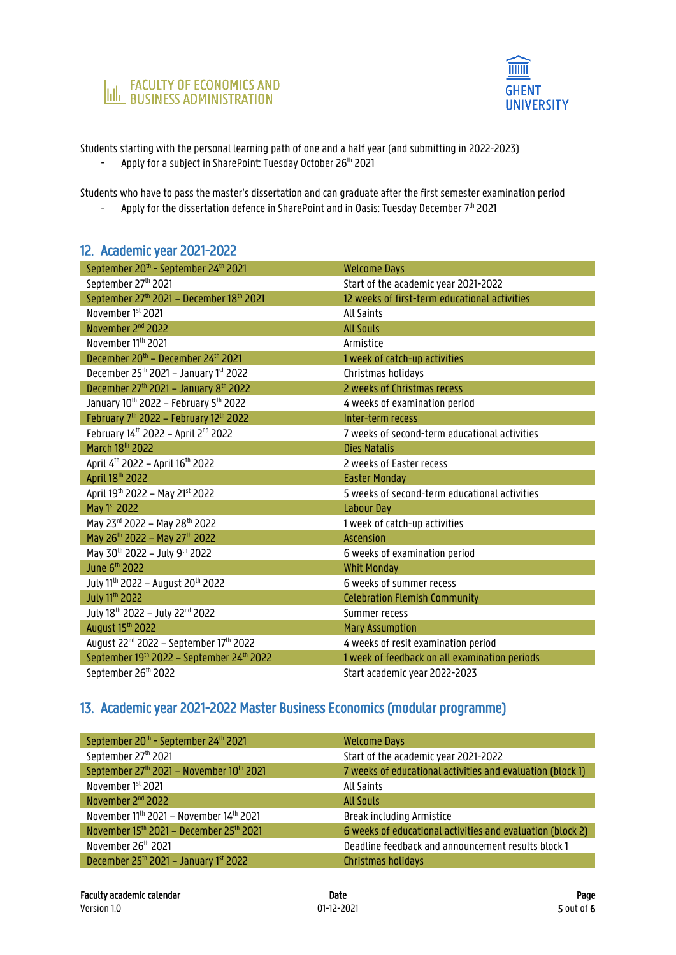



Students starting with the personal learning path of one and a half year (and submitting in 2022-2023)

- Apply for a subject in SharePoint: Tuesday October 26<sup>th</sup> 2021

Students who have to pass the master's dissertation and can graduate after the first semester examination period

- Apply for the dissertation defence in SharePoint and in Oasis: Tuesday December  $7^{\text{\tiny th}}$  2021

#### 12. Academic year 2021-2022

| September 20 <sup>th</sup> - September 24 <sup>th</sup> 2021   | <b>Welcome Days</b>                           |
|----------------------------------------------------------------|-----------------------------------------------|
| September 27th 2021                                            | Start of the academic year 2021-2022          |
| September 27th 2021 - December 18th 2021                       | 12 weeks of first-term educational activities |
| November 1st 2021                                              | All Saints                                    |
| November 2 <sup>nd</sup> 2022                                  | <b>All Souls</b>                              |
| November 11th 2021                                             | Armistice                                     |
| December 20 <sup>th</sup> - December 24 <sup>th</sup> 2021     | 1 week of catch-up activities                 |
| December $25^{th}$ 2021 - January 1st 2022                     | Christmas holidays                            |
| December 27th 2021 - January 8th 2022                          | 2 weeks of Christmas recess                   |
| January 10th 2022 - February 5th 2022                          | 4 weeks of examination period                 |
| February 7 <sup>th</sup> 2022 - February 12 <sup>th</sup> 2022 | Inter-term recess                             |
| February 14th 2022 - April 2nd 2022                            | 7 weeks of second-term educational activities |
| March 18th 2022                                                | Dies Natalis                                  |
| April 4 <sup>th</sup> 2022 - April 16 <sup>th</sup> 2022       | 2 weeks of Easter recess                      |
|                                                                |                                               |
| April 18th 2022                                                | <b>Easter Monday</b>                          |
| April 19th 2022 - May 21st 2022                                | 5 weeks of second-term educational activities |
| May 1st 2022                                                   | <b>Labour Day</b>                             |
| May 23rd 2022 - May 28th 2022                                  | 1 week of catch-up activities                 |
| May 26 <sup>th</sup> 2022 - May 27 <sup>th</sup> 2022          | <b>Ascension</b>                              |
| May 30th 2022 - July 9th 2022                                  | 6 weeks of examination period                 |
| June 6 <sup>th</sup> 2022                                      | <b>Whit Monday</b>                            |
| July 11 <sup>th</sup> 2022 - August 20 <sup>th</sup> 2022      | 6 weeks of summer recess                      |
| July 11 <sup>th</sup> 2022                                     | <b>Celebration Flemish Community</b>          |
| July 18 <sup>th</sup> 2022 - July 22 <sup>nd</sup> 2022        | Summer recess                                 |
| August 15th 2022                                               | <b>Mary Assumption</b>                        |
| August 22 <sup>nd</sup> 2022 - September 17 <sup>th</sup> 2022 | 4 weeks of resit examination period           |
| September 19th 2022 - September 24th 2022                      | 1 week of feedback on all examination periods |

## 13. Academic year 2021-2022 Master Business Economics (modular programme)

| September 20th - September 24th 2021     | <b>Welcome Days</b>                                        |
|------------------------------------------|------------------------------------------------------------|
| September 27th 2021                      | Start of the academic year 2021-2022                       |
| September 27th 2021 - November 10th 2021 | 7 weeks of educational activities and evaluation (block 1) |
| November 1st 2021                        | All Saints                                                 |
| November 2 <sup>nd</sup> 2022            | <b>All Souls</b>                                           |
| November 11th 2021 - November 14th 2021  | Break including Armistice                                  |
| November 15th 2021 - December 25th 2021  | 6 weeks of educational activities and evaluation (block 2) |
| November 26th 2021                       | Deadline feedback and announcement results block 1         |
| December $25th$ 2021 – January 1st 2022  | Christmas holidays                                         |